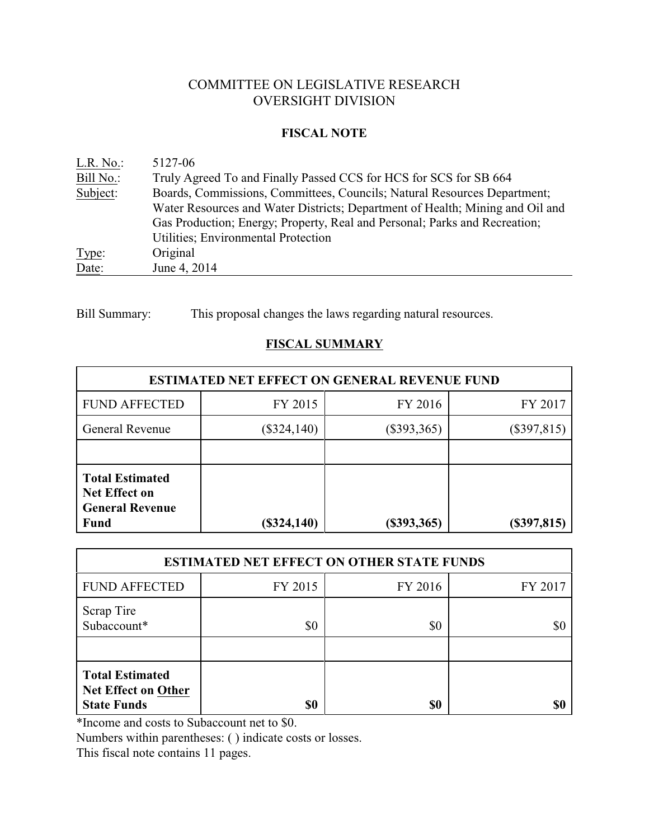# COMMITTEE ON LEGISLATIVE RESEARCH OVERSIGHT DIVISION

## **FISCAL NOTE**

| L.R. No.  | 5127-06                                                                       |
|-----------|-------------------------------------------------------------------------------|
| Bill No.: | Truly Agreed To and Finally Passed CCS for HCS for SCS for SB 664             |
| Subject:  | Boards, Commissions, Committees, Councils; Natural Resources Department;      |
|           | Water Resources and Water Districts; Department of Health; Mining and Oil and |
|           | Gas Production; Energy; Property, Real and Personal; Parks and Recreation;    |
|           | Utilities; Environmental Protection                                           |
| Type:     | Original                                                                      |
| Date:     | June 4, 2014                                                                  |

Bill Summary: This proposal changes the laws regarding natural resources.

# **FISCAL SUMMARY**

| <b>ESTIMATED NET EFFECT ON GENERAL REVENUE FUND</b>                                     |                                |                |               |  |
|-----------------------------------------------------------------------------------------|--------------------------------|----------------|---------------|--|
| <b>FUND AFFECTED</b>                                                                    | FY 2015                        | FY 2016        | FY 2017       |  |
| <b>General Revenue</b>                                                                  | $(\$393,365)$<br>$(\$324,140)$ |                | $(\$397,815)$ |  |
|                                                                                         |                                |                |               |  |
| <b>Total Estimated</b><br><b>Net Effect on</b><br><b>General Revenue</b><br><b>Fund</b> | $(\$324,140)$                  | $($ \$393,365) | $(\$397,815)$ |  |

| <b>ESTIMATED NET EFFECT ON OTHER STATE FUNDS</b>                    |         |         |         |  |
|---------------------------------------------------------------------|---------|---------|---------|--|
| <b>FUND AFFECTED</b>                                                | FY 2015 | FY 2016 | FY 2017 |  |
| <b>Scrap Tire</b><br>Subaccount*                                    | \$0     | \$0     | \$0     |  |
| <b>Total Estimated</b><br>Net Effect on Other<br><b>State Funds</b> | \$0     | \$0     | \$0     |  |

\*Income and costs to Subaccount net to \$0.

Numbers within parentheses: ( ) indicate costs or losses.

This fiscal note contains 11 pages.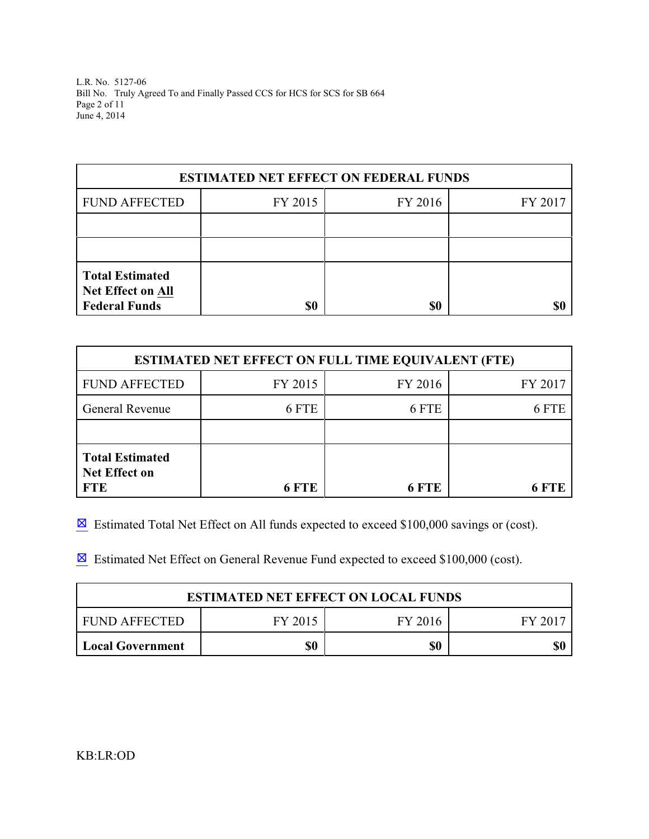L.R. No. 5127-06 Bill No. Truly Agreed To and Finally Passed CCS for HCS for SCS for SB 664 Page 2 of 11 June 4, 2014

| <b>ESTIMATED NET EFFECT ON FEDERAL FUNDS</b>                               |         |         |         |  |
|----------------------------------------------------------------------------|---------|---------|---------|--|
| <b>FUND AFFECTED</b>                                                       | FY 2015 | FY 2016 | FY 2017 |  |
|                                                                            |         |         |         |  |
|                                                                            |         |         |         |  |
| <b>Total Estimated</b><br><b>Net Effect on All</b><br><b>Federal Funds</b> | \$0     | \$0     |         |  |

| <b>ESTIMATED NET EFFECT ON FULL TIME EQUIVALENT (FTE)</b>    |         |         |         |  |
|--------------------------------------------------------------|---------|---------|---------|--|
| <b>FUND AFFECTED</b>                                         | FY 2015 | FY 2016 | FY 2017 |  |
| <b>General Revenue</b>                                       | 6 FTE   | 6 FTE   | 6 FTE   |  |
|                                                              |         |         |         |  |
| <b>Total Estimated</b><br><b>Net Effect on</b><br><b>FTE</b> | 6 FTE   | 6 FTE   | 6 FTF   |  |

 $\boxtimes$  Estimated Total Net Effect on All funds expected to exceed \$100,000 savings or (cost).

 $\boxtimes$  Estimated Net Effect on General Revenue Fund expected to exceed \$100,000 (cost).

| <b>ESTIMATED NET EFFECT ON LOCAL FUNDS</b> |         |         |         |
|--------------------------------------------|---------|---------|---------|
| FUND AFFECTED                              | FY 2015 | FY 2016 | FY 2017 |
| <b>Local Government</b>                    | \$0     | \$0     |         |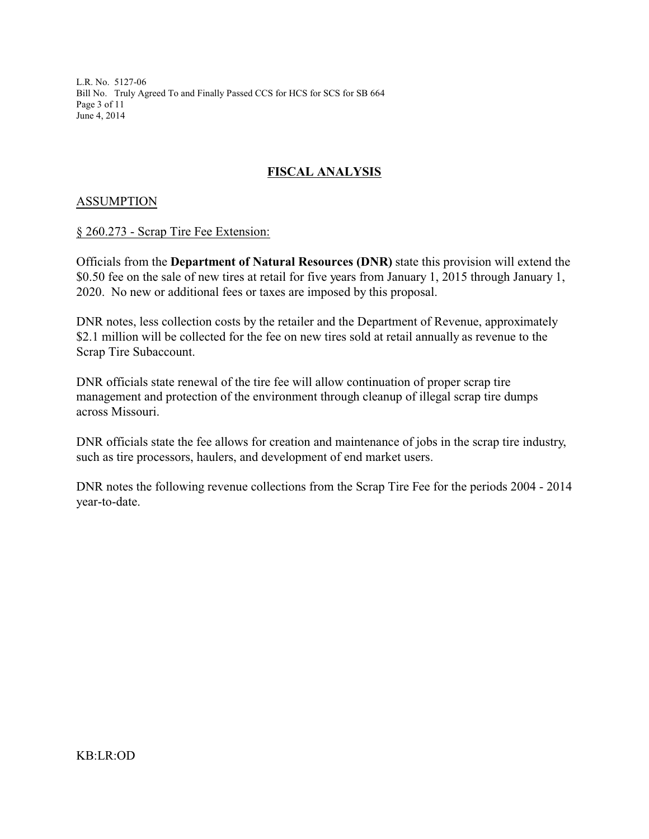L.R. No. 5127-06 Bill No. Truly Agreed To and Finally Passed CCS for HCS for SCS for SB 664 Page 3 of 11 June 4, 2014

# **FISCAL ANALYSIS**

## **ASSUMPTION**

#### § 260.273 - Scrap Tire Fee Extension:

Officials from the **Department of Natural Resources (DNR)** state this provision will extend the \$0.50 fee on the sale of new tires at retail for five years from January 1, 2015 through January 1, 2020. No new or additional fees or taxes are imposed by this proposal.

DNR notes, less collection costs by the retailer and the Department of Revenue, approximately \$2.1 million will be collected for the fee on new tires sold at retail annually as revenue to the Scrap Tire Subaccount.

DNR officials state renewal of the tire fee will allow continuation of proper scrap tire management and protection of the environment through cleanup of illegal scrap tire dumps across Missouri.

DNR officials state the fee allows for creation and maintenance of jobs in the scrap tire industry, such as tire processors, haulers, and development of end market users.

DNR notes the following revenue collections from the Scrap Tire Fee for the periods 2004 - 2014 year-to-date.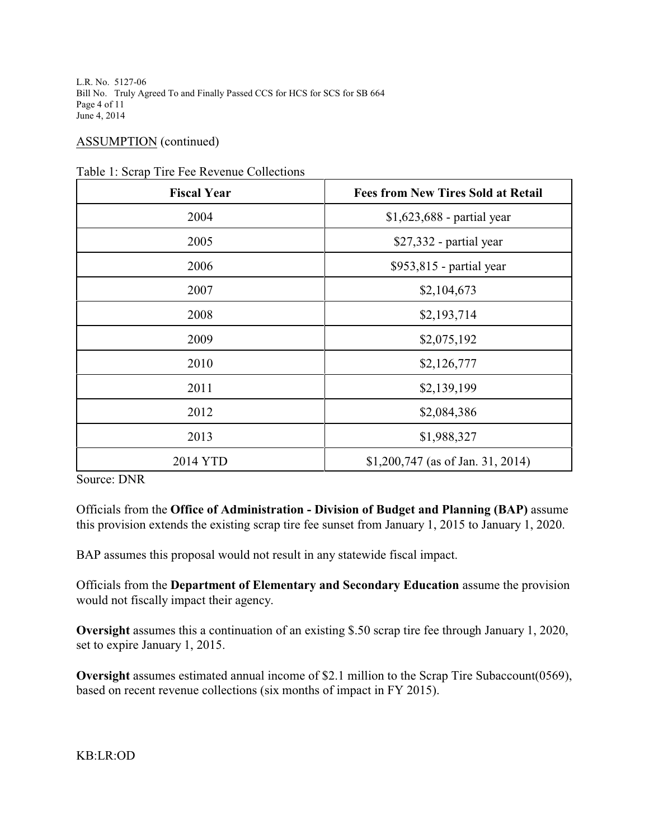L.R. No. 5127-06 Bill No. Truly Agreed To and Finally Passed CCS for HCS for SCS for SB 664 Page 4 of 11 June 4, 2014

### ASSUMPTION (continued)

| <b>Fiscal Year</b> | <b>Fees from New Tires Sold at Retail</b> |  |
|--------------------|-------------------------------------------|--|
| 2004               | $$1,623,688$ - partial year               |  |
| 2005               | $$27,332$ - partial year                  |  |
| 2006               | \$953,815 - partial year                  |  |
| 2007               | \$2,104,673                               |  |
| 2008               | \$2,193,714                               |  |
| 2009               | \$2,075,192                               |  |
| 2010               | \$2,126,777                               |  |
| 2011               | \$2,139,199                               |  |
| 2012               | \$2,084,386                               |  |
| 2013               | \$1,988,327                               |  |
| 2014 YTD           | $$1,200,747$ (as of Jan. 31, 2014)        |  |

Table 1: Scrap Tire Fee Revenue Collections

Source: DNR

Officials from the **Office of Administration - Division of Budget and Planning (BAP)** assume this provision extends the existing scrap tire fee sunset from January 1, 2015 to January 1, 2020.

BAP assumes this proposal would not result in any statewide fiscal impact.

Officials from the **Department of Elementary and Secondary Education** assume the provision would not fiscally impact their agency.

**Oversight** assumes this a continuation of an existing \$.50 scrap tire fee through January 1, 2020, set to expire January 1, 2015.

**Oversight** assumes estimated annual income of \$2.1 million to the Scrap Tire Subaccount(0569), based on recent revenue collections (six months of impact in FY 2015).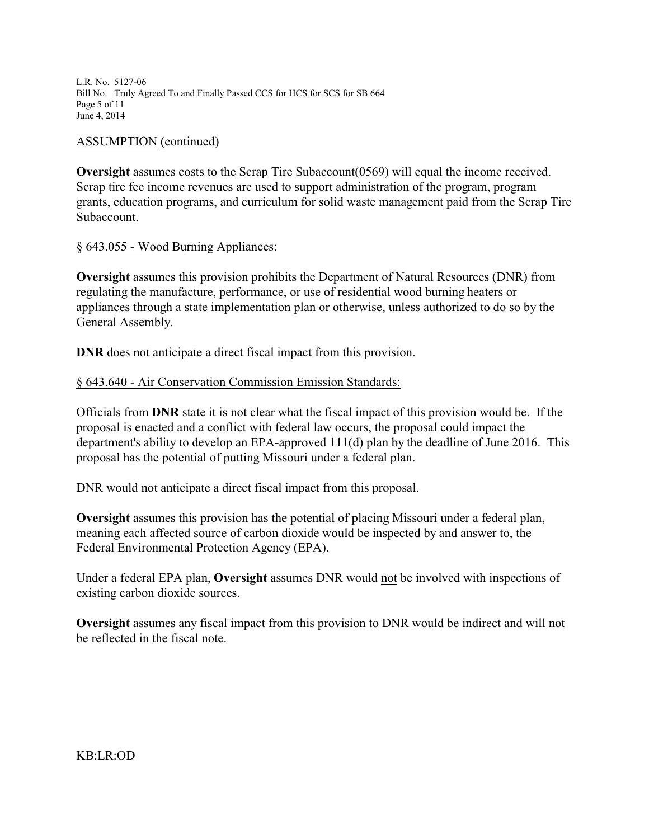L.R. No. 5127-06 Bill No. Truly Agreed To and Finally Passed CCS for HCS for SCS for SB 664 Page 5 of 11 June 4, 2014

#### ASSUMPTION (continued)

**Oversight** assumes costs to the Scrap Tire Subaccount (0569) will equal the income received. Scrap tire fee income revenues are used to support administration of the program, program grants, education programs, and curriculum for solid waste management paid from the Scrap Tire Subaccount.

### § 643.055 - Wood Burning Appliances:

**Oversight** assumes this provision prohibits the Department of Natural Resources (DNR) from regulating the manufacture, performance, or use of residential wood burning heaters or appliances through a state implementation plan or otherwise, unless authorized to do so by the General Assembly.

**DNR** does not anticipate a direct fiscal impact from this provision.

### § 643.640 - Air Conservation Commission Emission Standards:

Officials from **DNR** state it is not clear what the fiscal impact of this provision would be. If the proposal is enacted and a conflict with federal law occurs, the proposal could impact the department's ability to develop an EPA-approved 111(d) plan by the deadline of June 2016. This proposal has the potential of putting Missouri under a federal plan.

DNR would not anticipate a direct fiscal impact from this proposal.

**Oversight** assumes this provision has the potential of placing Missouri under a federal plan, meaning each affected source of carbon dioxide would be inspected by and answer to, the Federal Environmental Protection Agency (EPA).

Under a federal EPA plan, **Oversight** assumes DNR would not be involved with inspections of existing carbon dioxide sources.

**Oversight** assumes any fiscal impact from this provision to DNR would be indirect and will not be reflected in the fiscal note.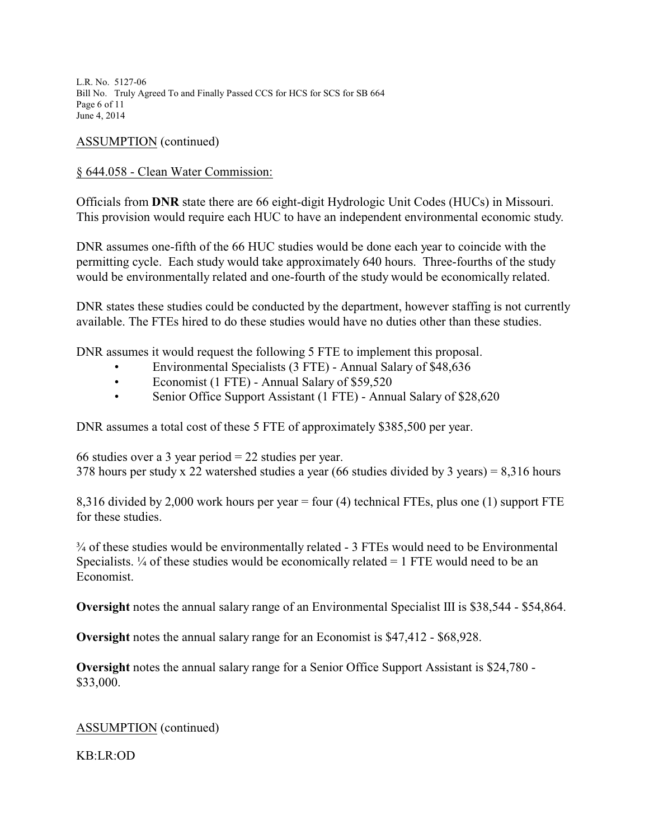L.R. No. 5127-06 Bill No. Truly Agreed To and Finally Passed CCS for HCS for SCS for SB 664 Page 6 of 11 June 4, 2014

## ASSUMPTION (continued)

## § 644.058 - Clean Water Commission:

Officials from **DNR** state there are 66 eight-digit Hydrologic Unit Codes (HUCs) in Missouri. This provision would require each HUC to have an independent environmental economic study.

DNR assumes one-fifth of the 66 HUC studies would be done each year to coincide with the permitting cycle. Each study would take approximately 640 hours. Three-fourths of the study would be environmentally related and one-fourth of the study would be economically related.

DNR states these studies could be conducted by the department, however staffing is not currently available. The FTEs hired to do these studies would have no duties other than these studies.

DNR assumes it would request the following 5 FTE to implement this proposal.

- Environmental Specialists (3 FTE) Annual Salary of \$48,636
- Economist (1 FTE) Annual Salary of \$59,520
- Senior Office Support Assistant (1 FTE) Annual Salary of \$28,620

DNR assumes a total cost of these 5 FTE of approximately \$385,500 per year.

66 studies over a 3 year period = 22 studies per year. 378 hours per study x 22 watershed studies a year (66 studies divided by 3 years) = 8,316 hours

8,316 divided by 2,000 work hours per year = four (4) technical FTEs, plus one (1) support FTE for these studies.

¾ of these studies would be environmentally related - 3 FTEs would need to be Environmental Specialists.  $\frac{1}{4}$  of these studies would be economically related = 1 FTE would need to be an Economist.

**Oversight** notes the annual salary range of an Environmental Specialist III is \$38,544 - \$54,864.

**Oversight** notes the annual salary range for an Economist is \$47,412 - \$68,928.

**Oversight** notes the annual salary range for a Senior Office Support Assistant is \$24,780 - \$33,000.

ASSUMPTION (continued)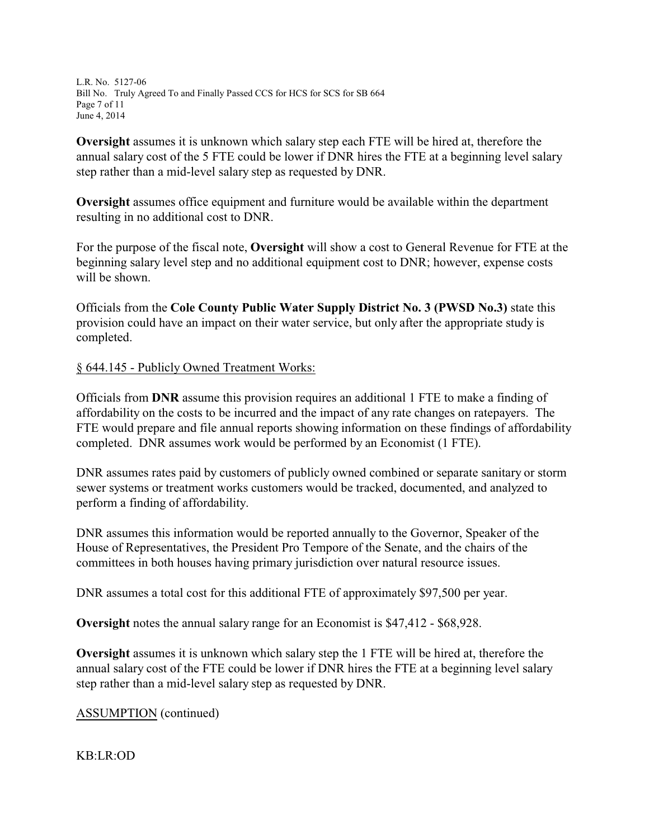L.R. No. 5127-06 Bill No. Truly Agreed To and Finally Passed CCS for HCS for SCS for SB 664 Page 7 of 11 June 4, 2014

**Oversight** assumes it is unknown which salary step each FTE will be hired at, therefore the annual salary cost of the 5 FTE could be lower if DNR hires the FTE at a beginning level salary step rather than a mid-level salary step as requested by DNR.

**Oversight** assumes office equipment and furniture would be available within the department resulting in no additional cost to DNR.

For the purpose of the fiscal note, **Oversight** will show a cost to General Revenue for FTE at the beginning salary level step and no additional equipment cost to DNR; however, expense costs will be shown.

Officials from the **Cole County Public Water Supply District No. 3 (PWSD No.3)** state this provision could have an impact on their water service, but only after the appropriate study is completed.

§ 644.145 - Publicly Owned Treatment Works:

Officials from **DNR** assume this provision requires an additional 1 FTE to make a finding of affordability on the costs to be incurred and the impact of any rate changes on ratepayers. The FTE would prepare and file annual reports showing information on these findings of affordability completed. DNR assumes work would be performed by an Economist (1 FTE).

DNR assumes rates paid by customers of publicly owned combined or separate sanitary or storm sewer systems or treatment works customers would be tracked, documented, and analyzed to perform a finding of affordability.

DNR assumes this information would be reported annually to the Governor, Speaker of the House of Representatives, the President Pro Tempore of the Senate, and the chairs of the committees in both houses having primary jurisdiction over natural resource issues.

DNR assumes a total cost for this additional FTE of approximately \$97,500 per year.

**Oversight** notes the annual salary range for an Economist is \$47,412 - \$68,928.

**Oversight** assumes it is unknown which salary step the 1 FTE will be hired at, therefore the annual salary cost of the FTE could be lower if DNR hires the FTE at a beginning level salary step rather than a mid-level salary step as requested by DNR.

ASSUMPTION (continued)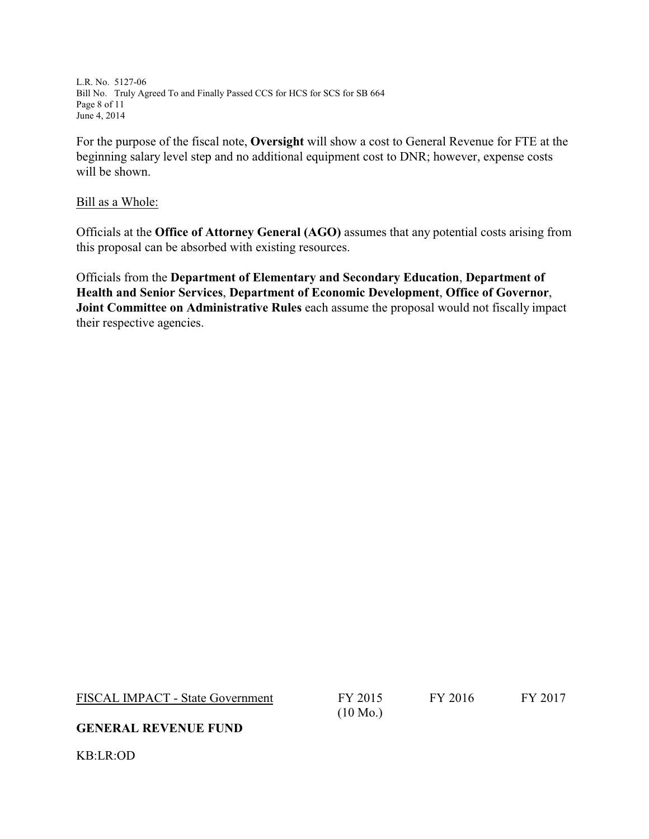L.R. No. 5127-06 Bill No. Truly Agreed To and Finally Passed CCS for HCS for SCS for SB 664 Page 8 of 11 June 4, 2014

For the purpose of the fiscal note, **Oversight** will show a cost to General Revenue for FTE at the beginning salary level step and no additional equipment cost to DNR; however, expense costs will be shown.

#### Bill as a Whole:

Officials at the **Office of Attorney General (AGO)** assumes that any potential costs arising from this proposal can be absorbed with existing resources.

Officials from the **Department of Elementary and Secondary Education**, **Department of Health and Senior Services**, **Department of Economic Development**, **Office of Governor**, **Joint Committee on Administrative Rules** each assume the proposal would not fiscally impact their respective agencies.

FISCAL IMPACT - State Government FY 2015

(10 Mo.)

FY 2016 FY 2017

### **GENERAL REVENUE FUND**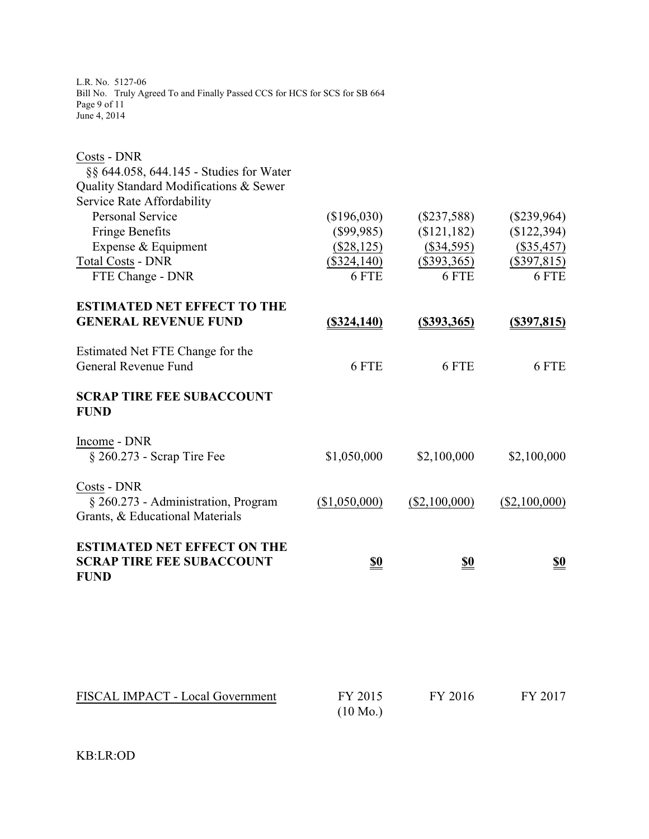L.R. No. 5127-06 Bill No. Truly Agreed To and Finally Passed CCS for HCS for SCS for SB 664 Page 9 of 11 June 4, 2014

| Costs - DNR                                                                           |                               |                        |                    |
|---------------------------------------------------------------------------------------|-------------------------------|------------------------|--------------------|
| §§ 644.058, 644.145 - Studies for Water                                               |                               |                        |                    |
| Quality Standard Modifications & Sewer                                                |                               |                        |                    |
| Service Rate Affordability                                                            |                               |                        |                    |
| <b>Personal Service</b>                                                               | (\$196,030)                   | $(\$237,588)$          | $(\$239,964)$      |
| <b>Fringe Benefits</b>                                                                | (\$99,985)                    | (\$121,182)            | (\$122,394)        |
| Expense & Equipment                                                                   | $(\$28,125)$                  | $(\$34,595)$           | $(\$35,457)$       |
| <b>Total Costs - DNR</b>                                                              | $(\$324,140)$                 | $(\$393,365)$          | $(\$397,815)$      |
| FTE Change - DNR                                                                      | 6 FTE                         | 6 FTE                  | 6 FTE              |
| <b>ESTIMATED NET EFFECT TO THE</b>                                                    |                               |                        |                    |
| <b>GENERAL REVENUE FUND</b>                                                           | <u>(\$324,140)</u>            | $(\frac{$393,365}{8})$ | <u>(\$397,815)</u> |
| Estimated Net FTE Change for the                                                      |                               |                        |                    |
| General Revenue Fund                                                                  | 6 FTE                         | 6 FTE                  | 6 FTE              |
| <b>SCRAP TIRE FEE SUBACCOUNT</b><br><b>FUND</b>                                       |                               |                        |                    |
| Income - DNR                                                                          |                               |                        |                    |
| $\S 260.273$ - Scrap Tire Fee                                                         | \$1,050,000                   | \$2,100,000            | \$2,100,000        |
| Costs - DNR                                                                           |                               |                        |                    |
| § 260.273 - Administration, Program                                                   | (\$1,050,000)                 | $(\$2,100,000)$        | $(\$2,100,000)$    |
| Grants, & Educational Materials                                                       |                               |                        |                    |
| <b>ESTIMATED NET EFFECT ON THE</b><br><b>SCRAP TIRE FEE SUBACCOUNT</b><br><b>FUND</b> | <u>\$0</u>                    | <u>\$0</u>             | <u>\$0</u>         |
|                                                                                       |                               |                        |                    |
| FISCAL IMPACT - Local Government                                                      | FY 2015<br>$(10 \text{ Mo.})$ | FY 2016                | FY 2017            |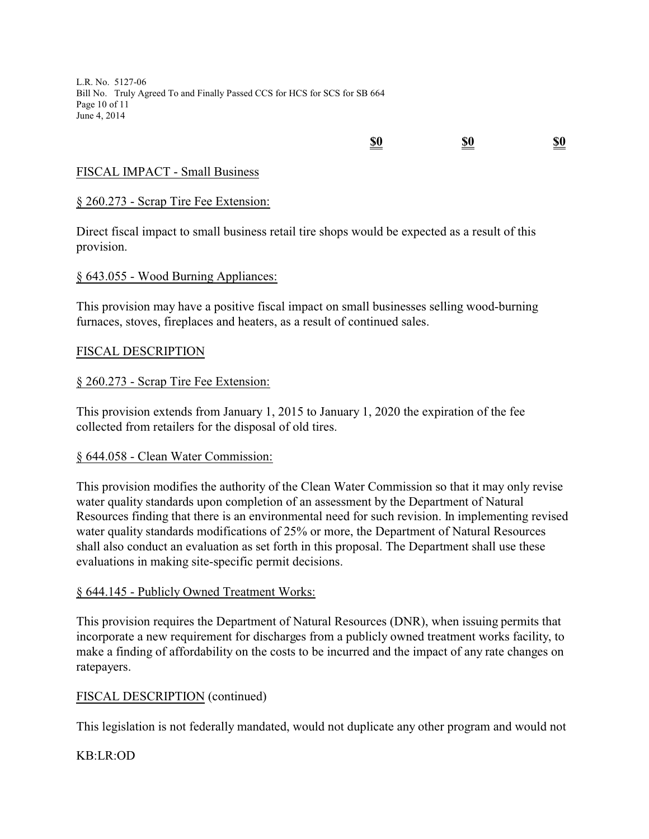L.R. No. 5127-06 Bill No. Truly Agreed To and Finally Passed CCS for HCS for SCS for SB 664 Page 10 of 11 June 4, 2014

# **\$0 \$0 \$0**

## FISCAL IMPACT - Small Business

## § 260.273 - Scrap Tire Fee Extension:

Direct fiscal impact to small business retail tire shops would be expected as a result of this provision.

### § 643.055 - Wood Burning Appliances:

This provision may have a positive fiscal impact on small businesses selling wood-burning furnaces, stoves, fireplaces and heaters, as a result of continued sales.

### FISCAL DESCRIPTION

## § 260.273 - Scrap Tire Fee Extension:

This provision extends from January 1, 2015 to January 1, 2020 the expiration of the fee collected from retailers for the disposal of old tires.

### § 644.058 - Clean Water Commission:

This provision modifies the authority of the Clean Water Commission so that it may only revise water quality standards upon completion of an assessment by the Department of Natural Resources finding that there is an environmental need for such revision. In implementing revised water quality standards modifications of 25% or more, the Department of Natural Resources shall also conduct an evaluation as set forth in this proposal. The Department shall use these evaluations in making site-specific permit decisions.

### § 644.145 - Publicly Owned Treatment Works:

This provision requires the Department of Natural Resources (DNR), when issuing permits that incorporate a new requirement for discharges from a publicly owned treatment works facility, to make a finding of affordability on the costs to be incurred and the impact of any rate changes on ratepayers.

### FISCAL DESCRIPTION (continued)

This legislation is not federally mandated, would not duplicate any other program and would not